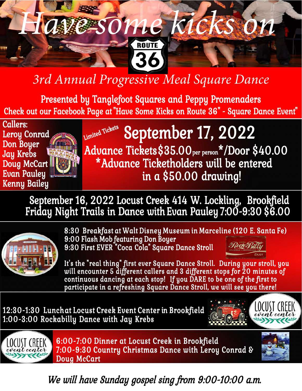# *3rd Annual Progressive Meal Square Dance*

36

 *Have some kicks on*

Presented by Tanglefoot Squares and Peppy Promenaders Check out our Facebook Page at "Have Some Kicks on Route 36" - Square Dance Event"



### **Limited Tickets** in a \$50.00 drawing! \*Advance Ticketholders will be entered Advance Tickets \$35.00<sub>per person</sub>\*/Door \$40.00 September 17, 2022

September 16, 2022 Locust Creek 414 W. Lockling, Brookfield Friday Night Trails in Dance with Evan Pauley 7:00-9:30 \$6.00



8:30 Breakfast at Walt Disney Museum in Marceline (120 E. Santa Fe) 9:00 Flash Mob featuring Don Boyer PRock?Rill 9:30 First EVER "Coca Cola" Square Dance Stroll

It's the "real thing" first ever Square Dance Stroll. During your stroll, you will encounter 5 different callers and 3 different stops for 20 minutes of continuous dancing at each stop! If you DARE to be one of the first to participate in a refreshing Square Dance Stroll, we will see you there!

12:30-1:30 Lunch at Locust Creek Event Center in Brookfield 1:00-3:00 Rockabilly Dance with Jay Krebs





6:00-7:00 Dinner at Locust Creek in Brookfield 7:00-9:30 Country Christmas Dance with Leroy Conrad & Doug McCart



We will have Sunday gospel sing from 9:00-10:00 a.m.